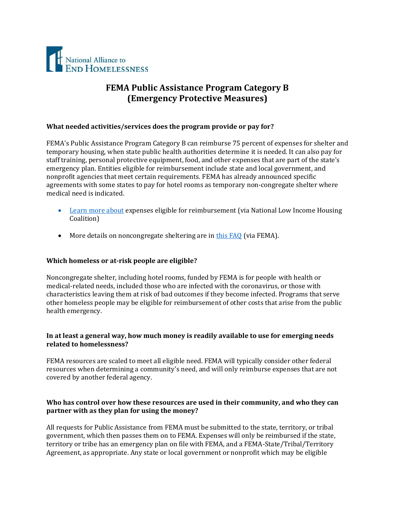

# **FEMA Public Assistance Program Category B (Emergency Protective Measures)**

#### **What needed activities/services does the program provide or pay for?**

FEMA's Public Assistance Program Category B can reimburse 75 percent of expenses for shelter and temporary housing, when state public health authorities determine it is needed. It can also pay for staff training, personal protective equipment, food, and other expenses that are part of the state's emergency plan. Entities eligible for reimbursement include state and local government, and nonprofit agencies that meet certain requirements. FEMA has already announced specific agreements with some states to pay for hotel rooms as temporary non-congregate shelter where medical need is indicated.

- [Learn more about](https://nlihc.org/sites/default/files/Category-FEMA-Public-Assistance-COVID-19-Crisis.pdf) expenses eligible for reimbursement (via National Low Income Housing Coalition)
- More details on noncongregate sheltering are in [this FAQ](https://www.fema.gov/news-release/2020/03/31/coronavirus-covid-19-pandemic-non-congregate-sheltering) (via FEMA).

## **Which homeless or at-risk people are eligible?**

Noncongregate shelter, including hotel rooms, funded by FEMA is for people with health or medical-related needs, included those who are infected with the coronavirus, or those with characteristics leaving them at risk of bad outcomes if they become infected. Programs that serve other homeless people may be eligible for reimbursement of other costs that arise from the public health emergency.

## **In at least a general way, how much money is readily available to use for emerging needs related to homelessness?**

FEMA resources are scaled to meet all eligible need. FEMA will typically consider other federal resources when determining a community's need, and will only reimburse expenses that are not covered by another federal agency.

## **Who has control over how these resources are used in their community, and who they can partner with as they plan for using the money?**

All requests for Public Assistance from FEMA must be submitted to the state, territory, or tribal government, which then passes them on to FEMA. Expenses will only be reimbursed if the state, territory or tribe has an emergency plan on file with FEMA, and a FEMA-State/Tribal/Territory Agreement, as appropriate. Any state or local government or nonprofit which may be eligible